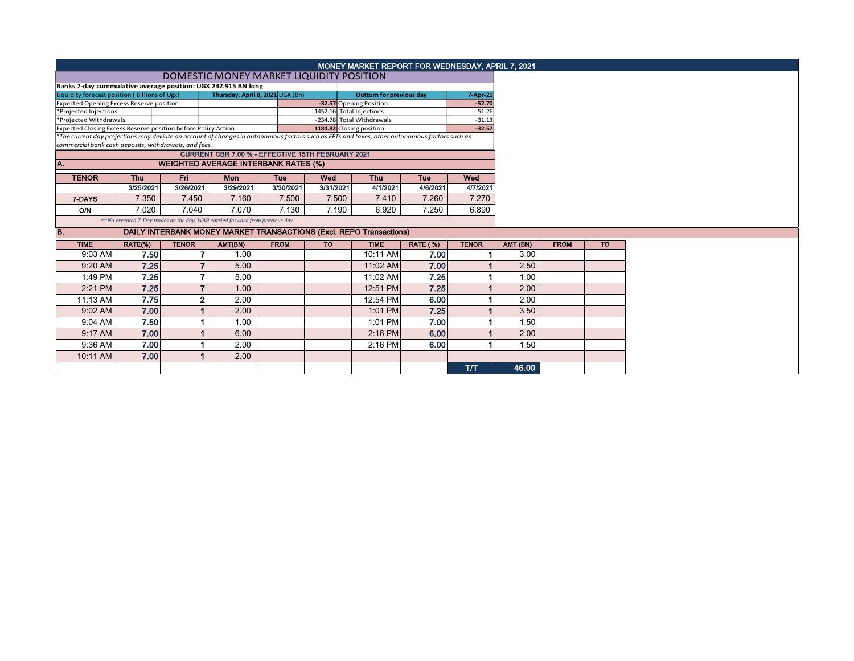|                                                                                                                                                                          | MONEY MARKET REPORT FOR WEDNESDAY, APRIL 7, 2021                              |                          |           |             |           |             |                 |              |  |          |             |  |  |
|--------------------------------------------------------------------------------------------------------------------------------------------------------------------------|-------------------------------------------------------------------------------|--------------------------|-----------|-------------|-----------|-------------|-----------------|--------------|--|----------|-------------|--|--|
|                                                                                                                                                                          |                                                                               |                          |           |             |           |             |                 |              |  |          |             |  |  |
| Banks 7-day cummulative average position: UGX 242.915 BN long                                                                                                            |                                                                               |                          |           |             |           |             |                 |              |  |          |             |  |  |
| Thursday, April 8, 2021 UGX (Bn)<br>Liquidity forecast position (Billions of Ugx)<br><b>Outturn for previous day</b>                                                     |                                                                               |                          |           |             |           |             |                 | 7-Apr-21     |  |          |             |  |  |
| <b>Expected Opening Excess Reserve position</b><br>-32.57 Opening Position<br>$-52.70$<br>1452.16 Total Injections                                                       |                                                                               |                          |           |             |           |             |                 |              |  |          |             |  |  |
| *Projected Injections                                                                                                                                                    |                                                                               |                          |           |             |           |             |                 | 51.26        |  |          |             |  |  |
| *Projected Withdrawals<br>-234.78 Total Withdrawals<br>$-31.13$<br>1184.82 Closing position<br>Expected Closing Excess Reserve position before Policy Action<br>$-32.57$ |                                                                               |                          |           |             |           |             |                 |              |  |          |             |  |  |
| *The current day projections may deviate on account of changes in autonomous factors such as EFTs and taxes; other autonomous factors such as                            |                                                                               |                          |           |             |           |             |                 |              |  |          |             |  |  |
| commercial bank cash deposits, withdrawals, and fees.                                                                                                                    |                                                                               |                          |           |             |           |             |                 |              |  |          |             |  |  |
|                                                                                                                                                                          | CURRENT CBR 7.00 % - EFFECTIVE 15TH FEBRUARY 2021                             |                          |           |             |           |             |                 |              |  |          |             |  |  |
| IA.                                                                                                                                                                      | <b>WEIGHTED AVERAGE INTERBANK RATES (%)</b>                                   |                          |           |             |           |             |                 |              |  |          |             |  |  |
| <b>TENOR</b>                                                                                                                                                             | Fri<br>Wed<br><b>Thu</b><br>Mon<br>Tue<br>Wed<br><b>Thu</b><br>Tue            |                          |           |             |           |             |                 |              |  |          |             |  |  |
|                                                                                                                                                                          | 3/25/2021                                                                     | 3/26/2021                | 3/29/2021 | 3/30/2021   | 3/31/2021 | 4/1/2021    | 4/6/2021        | 4/7/2021     |  |          |             |  |  |
| 7-DAYS                                                                                                                                                                   | 7.350                                                                         | 7.450                    | 7.160     | 7.500       | 7.500     | 7.410       | 7.260           | 7.270        |  |          |             |  |  |
| <b>O/N</b>                                                                                                                                                               | 7.020                                                                         | 7.040                    | 7.070     | 7.130       | 7.190     | 6.920       | 7.250           | 6.890        |  |          |             |  |  |
|                                                                                                                                                                          | *=No executed 7-Day trades on the day. WAR carried forward from previous day. |                          |           |             |           |             |                 |              |  |          |             |  |  |
| IB.                                                                                                                                                                      | DAILY INTERBANK MONEY MARKET TRANSACTIONS (Excl. REPO Transactions)           |                          |           |             |           |             |                 |              |  |          |             |  |  |
| <b>TIME</b>                                                                                                                                                              | RATE(%)                                                                       | <b>TENOR</b>             | AMT(BN)   | <b>FROM</b> | <b>TO</b> | <b>TIME</b> | <b>RATE (%)</b> | <b>TENOR</b> |  | AMT (BN) | <b>FROM</b> |  |  |
| 9:03 AM                                                                                                                                                                  | 7.50                                                                          |                          | 1.00      |             |           | 10:11 AM    | 7.00            |              |  | 3.00     |             |  |  |
| 9:20 AM                                                                                                                                                                  | 7.25                                                                          |                          | 5.00      |             |           | 11:02 AM    | 7.00            |              |  | 2.50     |             |  |  |
| 1:49 PM                                                                                                                                                                  | 7.25                                                                          | ⇁                        | 5.00      |             |           | 11:02 AM    | 7.25            |              |  | 1.00     |             |  |  |
| 2:21 PM                                                                                                                                                                  | 7.25                                                                          | $\overline{\phantom{a}}$ | 1.00      |             |           | 12:51 PM    | 7.25            |              |  | 2.00     |             |  |  |
| 11:13 AM                                                                                                                                                                 | 7.75                                                                          | $\overline{2}$           | 2.00      |             |           | 12:54 PM    | 6.00            |              |  | 2.00     |             |  |  |
| $9:02$ AM                                                                                                                                                                | 7.00                                                                          |                          | 2.00      |             |           | 1:01 PM     | 7.25            |              |  | 3.50     |             |  |  |
| 9:04 AM                                                                                                                                                                  | 7.50                                                                          |                          | 1.00      |             |           | 1:01 PM     | 7.00            |              |  | 1.50     |             |  |  |
| 9:17 AM                                                                                                                                                                  | 7.00                                                                          |                          | 6.00      |             |           | $2:16$ PM   | 6.00            |              |  | 2.00     |             |  |  |
| 9:36 AM                                                                                                                                                                  | 7.00                                                                          |                          | 2.00      |             |           | 2:16 PM     | 6.00            |              |  | 1.50     |             |  |  |
| 10:11 AM                                                                                                                                                                 | 7.00                                                                          |                          | 2.00      |             |           |             |                 |              |  |          |             |  |  |
|                                                                                                                                                                          |                                                                               |                          |           |             |           |             |                 |              |  |          |             |  |  |
|                                                                                                                                                                          |                                                                               |                          |           |             |           |             |                 | T/T          |  | 46.00    |             |  |  |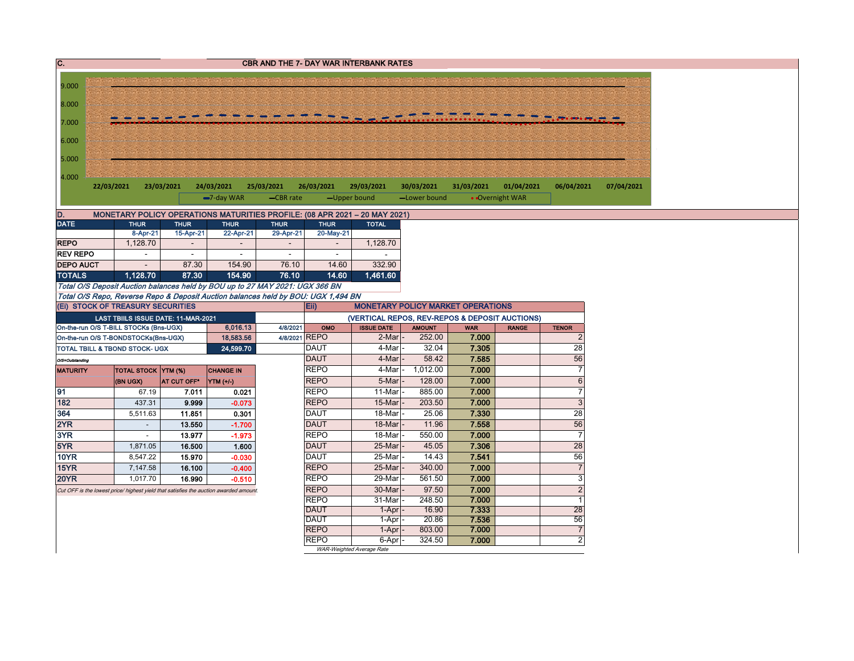| С.                                                                                                                                                     |                                                                                           |             |                          |                           |                            | <b>CBR AND THE 7- DAY WAR INTERBANK RATES</b>  |                         |                     |                 |                                |  |  |  |  |
|--------------------------------------------------------------------------------------------------------------------------------------------------------|-------------------------------------------------------------------------------------------|-------------|--------------------------|---------------------------|----------------------------|------------------------------------------------|-------------------------|---------------------|-----------------|--------------------------------|--|--|--|--|
|                                                                                                                                                        |                                                                                           |             |                          |                           |                            |                                                |                         |                     |                 |                                |  |  |  |  |
| 9.000                                                                                                                                                  |                                                                                           |             |                          |                           |                            |                                                |                         |                     |                 |                                |  |  |  |  |
| 8.000                                                                                                                                                  |                                                                                           |             |                          |                           |                            |                                                |                         |                     |                 |                                |  |  |  |  |
|                                                                                                                                                        |                                                                                           |             |                          |                           |                            |                                                |                         |                     |                 |                                |  |  |  |  |
| 7.000                                                                                                                                                  |                                                                                           |             |                          |                           |                            |                                                |                         |                     |                 |                                |  |  |  |  |
| 6.000                                                                                                                                                  |                                                                                           |             |                          |                           |                            |                                                |                         |                     |                 |                                |  |  |  |  |
|                                                                                                                                                        |                                                                                           |             |                          |                           |                            |                                                |                         |                     |                 |                                |  |  |  |  |
| 5.000                                                                                                                                                  |                                                                                           |             |                          |                           |                            |                                                |                         |                     |                 |                                |  |  |  |  |
|                                                                                                                                                        | 4.000                                                                                     |             |                          |                           |                            |                                                |                         |                     |                 |                                |  |  |  |  |
| 23/03/2021<br>22/03/2021<br>24/03/2021<br>25/03/2021<br>26/03/2021<br>29/03/2021<br>30/03/2021<br>31/03/2021<br>01/04/2021<br>06/04/2021<br>07/04/2021 |                                                                                           |             |                          |                           |                            |                                                |                         |                     |                 |                                |  |  |  |  |
|                                                                                                                                                        |                                                                                           |             | -7-day WAR               | -CBR rate                 | -Upper bound               |                                                | -Lower bound            |                     | • Overnight WAR |                                |  |  |  |  |
|                                                                                                                                                        |                                                                                           |             |                          |                           |                            |                                                |                         |                     |                 |                                |  |  |  |  |
| D.<br><b>DATE</b>                                                                                                                                      | MONETARY POLICY OPERATIONS MATURITIES PROFILE: (08 APR 2021 - 20 MAY 2021)<br><b>THUR</b> | <b>THUR</b> | <b>THUR</b>              | <b>THUR</b>               | <b>THUR</b>                | <b>TOTAL</b>                                   |                         |                     |                 |                                |  |  |  |  |
|                                                                                                                                                        | 8-Apr-21                                                                                  | 15-Apr-21   | 22-Apr-21                | 29-Apr-21                 | 20-May-21                  |                                                |                         |                     |                 |                                |  |  |  |  |
| <b>REPO</b>                                                                                                                                            | 1,128.70                                                                                  |             |                          |                           |                            | 1,128.70                                       |                         |                     |                 |                                |  |  |  |  |
| <b>REV REPO</b>                                                                                                                                        | $\overline{\phantom{a}}$                                                                  | $\sim$      | $\overline{\phantom{a}}$ | $\sim$                    | $\sim$                     |                                                |                         |                     |                 |                                |  |  |  |  |
| <b>DEPO AUCT</b>                                                                                                                                       |                                                                                           | 87.30       | 154.90                   | 76.10                     | 14.60                      | 332.90                                         |                         |                     |                 |                                |  |  |  |  |
| <b>TOTALS</b>                                                                                                                                          | 1,128.70                                                                                  | 87.30       | 154.90                   | 76.10                     | 14.60                      | 1,461.60                                       |                         |                     |                 |                                |  |  |  |  |
|                                                                                                                                                        | Total O/S Deposit Auction balances held by BOU up to 27 MAY 2021: UGX 366 BN              |             |                          |                           |                            |                                                |                         |                     |                 |                                |  |  |  |  |
|                                                                                                                                                        | Total O/S Repo, Reverse Repo & Deposit Auction balances held by BOU: UGX 1,494 BN         |             |                          |                           |                            |                                                |                         |                     |                 |                                |  |  |  |  |
|                                                                                                                                                        | (Ei) STOCK OF TREASURY SECURITIES                                                         |             |                          |                           | Eii)                       | <b>MONETARY POLICY MARKET OPERATIONS</b>       |                         |                     |                 |                                |  |  |  |  |
|                                                                                                                                                        | LAST TBIILS ISSUE DATE: 11-MAR-2021                                                       |             |                          |                           |                            | (VERTICAL REPOS, REV-REPOS & DEPOSIT AUCTIONS) |                         |                     |                 |                                |  |  |  |  |
|                                                                                                                                                        | On-the-run O/S T-BILL STOCKs (Bns-UGX)                                                    |             | 6,016.13<br>18,583.56    | 4/8/2021<br>4/8/2021 REPO | OMO                        | <b>ISSUE DATE</b><br>2-Mar                     | <b>AMOUNT</b><br>252.00 | <b>WAR</b><br>7.000 | <b>RANGE</b>    | <b>TENOR</b><br>$\overline{2}$ |  |  |  |  |
|                                                                                                                                                        | On-the-run O/S T-BONDSTOCKs(Bns-UGX)<br>TOTAL TBILL & TBOND STOCK- UGX                    |             | 24,599.70                |                           | <b>DAUT</b>                | 4-Mar                                          | 32.04                   | 7.305               |                 | 28                             |  |  |  |  |
| O/S=Outstanding                                                                                                                                        |                                                                                           |             |                          |                           | <b>DAUT</b>                | 4-Mar                                          | 58.42                   | 7.585               |                 | 56                             |  |  |  |  |
| <b>MATURITY</b>                                                                                                                                        | TOTAL STOCK YTM (%)                                                                       |             | <b>CHANGE IN</b>         |                           | <b>REPO</b>                | 4-Mar                                          | 1,012.00                | 7.000               |                 | $\overline{7}$                 |  |  |  |  |
|                                                                                                                                                        | (BN UGX)                                                                                  | AT CUT OFF* | YTM (+/-)                |                           | <b>REPO</b>                | 5-Mar                                          | 128.00                  | 7.000               |                 | $6\phantom{a}$                 |  |  |  |  |
| 91                                                                                                                                                     | 67.19                                                                                     | 7.011       | 0.021                    |                           | <b>REPO</b>                | 11-Mar                                         | 885.00                  | 7.000               |                 | $\overline{7}$                 |  |  |  |  |
| 182                                                                                                                                                    | 437.31                                                                                    | 9.999       | $-0.073$                 |                           | <b>REPO</b>                | 15-Mar                                         | 203.50                  | 7.000               |                 | $\overline{3}$                 |  |  |  |  |
| 364                                                                                                                                                    | 5,511.63                                                                                  | 11.851      | 0.301                    |                           | <b>DAUT</b>                | 18-Mar                                         | 25.06                   | 7.330               |                 | $\overline{28}$                |  |  |  |  |
| 2YR                                                                                                                                                    | $\sim$                                                                                    | 13.550      | $-1.700$                 |                           | <b>DAUT</b>                | 18-Mar                                         | 11.96                   | 7.558               |                 | 56                             |  |  |  |  |
| 3YR                                                                                                                                                    | $\sim$                                                                                    | 13.977      | $-1.973$                 |                           | <b>REPO</b>                | 18-Mar                                         | 550.00                  | 7.000               |                 | $\overline{7}$                 |  |  |  |  |
| 5YR                                                                                                                                                    | 1,871.05                                                                                  | 16.500      | 1.600                    |                           | <b>DAUT</b>                | 25-Mar                                         | 45.05                   | 7.306               |                 | $\overline{28}$                |  |  |  |  |
| <b>10YR</b>                                                                                                                                            | 8,547.22                                                                                  | 15.970      | $-0.030$                 |                           | <b>DAUT</b>                | 25-Mar                                         | 14.43                   | 7.541               |                 | 56                             |  |  |  |  |
| 15YR                                                                                                                                                   | 7,147.58                                                                                  | 16.100      | $-0.400$                 |                           | <b>REPO</b>                | 25-Mar                                         | 340.00                  | 7.000               |                 | $\overline{7}$                 |  |  |  |  |
| <b>20YR</b>                                                                                                                                            | 1,017.70                                                                                  | 16.990      | $-0.510$                 |                           | <b>REPO</b>                | 29-Mar                                         | 561.50                  | 7.000               |                 | $\overline{3}$                 |  |  |  |  |
|                                                                                                                                                        | Cut OFF is the lowest price/ highest yield that satisfies the auction awarded amount      |             |                          |                           | <b>REPO</b>                | 30-Mar                                         | 97.50                   | 7.000               |                 | $\overline{2}$                 |  |  |  |  |
|                                                                                                                                                        |                                                                                           |             |                          |                           | <b>REPO</b>                | 31-Mar                                         | 248.50                  | 7.000               |                 | $\overline{1}$                 |  |  |  |  |
|                                                                                                                                                        |                                                                                           |             |                          |                           | <b>DAUT</b><br><b>DAUT</b> | 1-Apr<br>1-Apr                                 | 16.90<br>20.86          | 7.333<br>7.536      |                 | 28<br>56                       |  |  |  |  |
|                                                                                                                                                        |                                                                                           |             |                          |                           | <b>REPO</b>                | 1-Apr                                          | 803.00                  | 7.000               |                 | $\overline{7}$                 |  |  |  |  |
|                                                                                                                                                        |                                                                                           |             |                          |                           | <b>REPO</b>                | 6-Apr                                          | 324.50                  | 7.000               |                 | $\overline{2}$                 |  |  |  |  |
|                                                                                                                                                        |                                                                                           |             |                          |                           |                            | WAR-Weighted Average Rate                      |                         |                     |                 |                                |  |  |  |  |